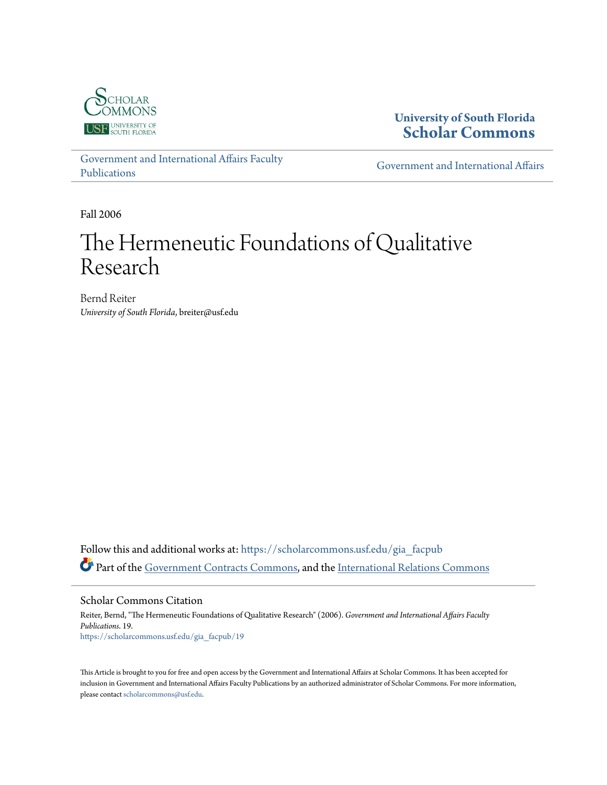

**University of South Florida [Scholar Commons](https://scholarcommons.usf.edu?utm_source=scholarcommons.usf.edu%2Fgia_facpub%2F19&utm_medium=PDF&utm_campaign=PDFCoverPages)**

[Government and International Affairs Faculty](https://scholarcommons.usf.edu/gia_facpub?utm_source=scholarcommons.usf.edu%2Fgia_facpub%2F19&utm_medium=PDF&utm_campaign=PDFCoverPages) [Publications](https://scholarcommons.usf.edu/gia_facpub?utm_source=scholarcommons.usf.edu%2Fgia_facpub%2F19&utm_medium=PDF&utm_campaign=PDFCoverPages)

[Government and International Affairs](https://scholarcommons.usf.edu/gia?utm_source=scholarcommons.usf.edu%2Fgia_facpub%2F19&utm_medium=PDF&utm_campaign=PDFCoverPages)

Fall 2006

# The Hermeneutic Foundations of Qualitative Research

Bernd Reiter *University of South Florida*, breiter@usf.edu

Follow this and additional works at: [https://scholarcommons.usf.edu/gia\\_facpub](https://scholarcommons.usf.edu/gia_facpub?utm_source=scholarcommons.usf.edu%2Fgia_facpub%2F19&utm_medium=PDF&utm_campaign=PDFCoverPages) Part of the [Government Contracts Commons](http://network.bepress.com/hgg/discipline/845?utm_source=scholarcommons.usf.edu%2Fgia_facpub%2F19&utm_medium=PDF&utm_campaign=PDFCoverPages), and the [International Relations Commons](http://network.bepress.com/hgg/discipline/389?utm_source=scholarcommons.usf.edu%2Fgia_facpub%2F19&utm_medium=PDF&utm_campaign=PDFCoverPages)

Scholar Commons Citation Reiter, Bernd, "The Hermeneutic Foundations of Qualitative Research" (2006). *Government and International Affairs Faculty Publications*. 19. [https://scholarcommons.usf.edu/gia\\_facpub/19](https://scholarcommons.usf.edu/gia_facpub/19?utm_source=scholarcommons.usf.edu%2Fgia_facpub%2F19&utm_medium=PDF&utm_campaign=PDFCoverPages)

This Article is brought to you for free and open access by the Government and International Affairs at Scholar Commons. It has been accepted for inclusion in Government and International Affairs Faculty Publications by an authorized administrator of Scholar Commons. For more information, please contact [scholarcommons@usf.edu.](mailto:scholarcommons@usf.edu)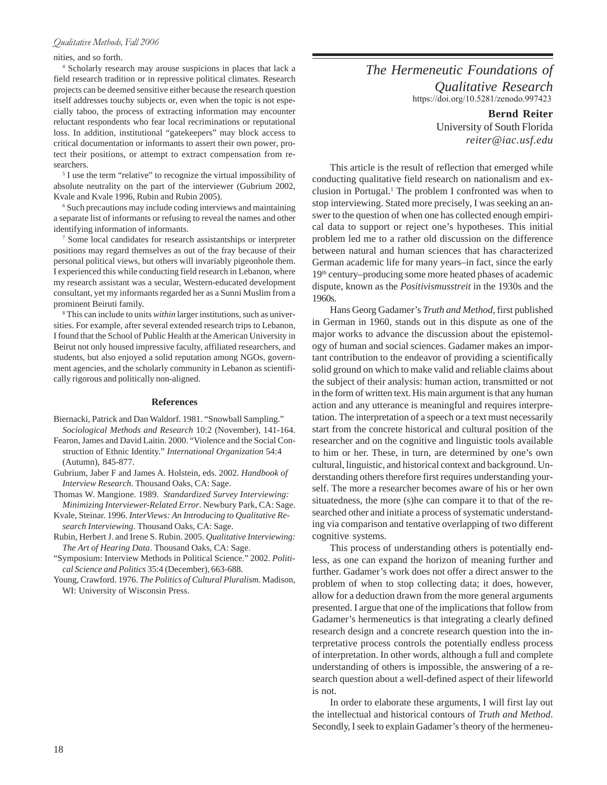## nities, and so forth.

4 Scholarly research may arouse suspicions in places that lack a field research tradition or in repressive political climates. Research projects can be deemed sensitive either because the research question itself addresses touchy subjects or, even when the topic is not especially taboo, the process of extracting information may encounter reluctant respondents who fear local recriminations or reputational loss. In addition, institutional "gatekeepers" may block access to critical documentation or informants to assert their own power, protect their positions, or attempt to extract compensation from researchers.

<sup>5</sup> I use the term "relative" to recognize the virtual impossibility of absolute neutrality on the part of the interviewer (Gubrium 2002, Kvale and Kvale 1996, Rubin and Rubin 2005).

6 Such precautions may include coding interviews and maintaining a separate list of informants or refusing to reveal the names and other identifying information of informants.

7 Some local candidates for research assistantships or interpreter positions may regard themselves as out of the fray because of their personal political views, but others will invariably pigeonhole them. I experienced this while conducting field research in Lebanon, where my research assistant was a secular, Western-educated development consultant, yet my informants regarded her as a Sunni Muslim from a prominent Beiruti family.

8 This can include to units *within* larger institutions, such as universities. For example, after several extended research trips to Lebanon, I found that the School of Public Health at the American University in Beirut not only housed impressive faculty, affiliated researchers, and students, but also enjoyed a solid reputation among NGOs, government agencies, and the scholarly community in Lebanon as scientifically rigorous and politically non-aligned.

#### **References**

- Biernacki, Patrick and Dan Waldorf. 1981. "Snowball Sampling." *Sociological Methods and Research* 10:2 (November), 141-164.
- Fearon, James and David Laitin. 2000. "Violence and the Social Construction of Ethnic Identity." *International Organization* 54:4 (Autumn), 845-877.
- Gubrium, Jaber F and James A. Holstein, eds. 2002. *Handbook of Interview Research*. Thousand Oaks, CA: Sage.
- Thomas W. Mangione. 1989. *Standardized Survey Interviewing: Minimizing Interviewer-Related Error*. Newbury Park, CA: Sage.
- Kvale, Steinar. 1996. *InterViews: An Introducing to Qualitative Research Interviewing*. Thousand Oaks, CA: Sage.
- Rubin, Herbert J. and Irene S. Rubin. 2005. *Qualitative Interviewing: The Art of Hearing Data*. Thousand Oaks, CA: Sage.
- "Symposium: Interview Methods in Political Science." 2002. *Political Science and Politics* 35:4 (December), 663-688.
- Young, Crawford. 1976. *The Politics of Cultural Pluralism.* Madison, WI: University of Wisconsin Press.

*The Hermeneutic Foundations of Qualitative Research* https://doi.org/10.5281/zenodo.997423

> **Bernd Reiter** University of South Florida *reiter@iac.usf.edu*

This article is the result of reflection that emerged while conducting qualitative field research on nationalism and exclusion in Portugal.<sup>1</sup> The problem I confronted was when to stop interviewing. Stated more precisely, I was seeking an answer to the question of when one has collected enough empirical data to support or reject one's hypotheses. This initial problem led me to a rather old discussion on the difference between natural and human sciences that has characterized German academic life for many years–in fact, since the early 19th century–producing some more heated phases of academic dispute, known as the *Positivismusstreit* in the 1930s and the 1960s.

Hans Georg Gadamer's *Truth and Method*, first published in German in 1960, stands out in this dispute as one of the major works to advance the discussion about the epistemology of human and social sciences. Gadamer makes an important contribution to the endeavor of providing a scientifically solid ground on which to make valid and reliable claims about the subject of their analysis: human action, transmitted or not in the form of written text. His main argument is that any human action and any utterance is meaningful and requires interpretation. The interpretation of a speech or a text must necessarily start from the concrete historical and cultural position of the researcher and on the cognitive and linguistic tools available to him or her. These, in turn, are determined by one's own cultural, linguistic, and historical context and background. Understanding others therefore first requires understanding yourself. The more a researcher becomes aware of his or her own situatedness, the more (s)he can compare it to that of the researched other and initiate a process of systematic understanding via comparison and tentative overlapping of two different cognitive systems.

This process of understanding others is potentially endless, as one can expand the horizon of meaning further and further. Gadamer's work does not offer a direct answer to the problem of when to stop collecting data; it does, however, allow for a deduction drawn from the more general arguments presented. I argue that one of the implications that follow from Gadamer's hermeneutics is that integrating a clearly defined research design and a concrete research question into the interpretative process controls the potentially endless process of interpretation. In other words, although a full and complete understanding of others is impossible, the answering of a research question about a well-defined aspect of their lifeworld is not.

In order to elaborate these arguments, I will first lay out the intellectual and historical contours of *Truth and Method*. Secondly, I seek to explain Gadamer's theory of the hermeneu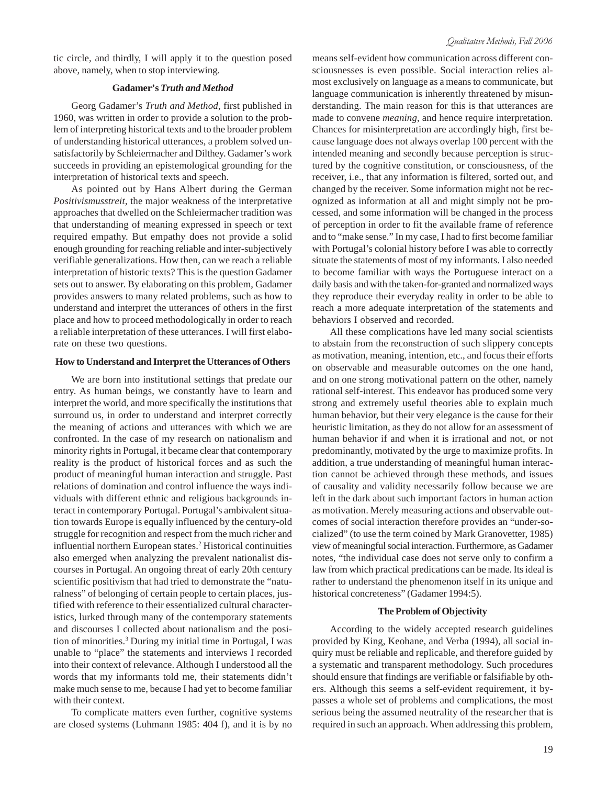tic circle, and thirdly, I will apply it to the question posed above, namely, when to stop interviewing.

# **Gadamer's** *Truth and Method*

Georg Gadamer's *Truth and Method*, first published in 1960, was written in order to provide a solution to the problem of interpreting historical texts and to the broader problem of understanding historical utterances, a problem solved unsatisfactorily by Schleiermacher and Dilthey. Gadamer's work succeeds in providing an epistemological grounding for the interpretation of historical texts and speech.

As pointed out by Hans Albert during the German *Positivismusstreit*, the major weakness of the interpretative approaches that dwelled on the Schleiermacher tradition was that understanding of meaning expressed in speech or text required empathy. But empathy does not provide a solid enough grounding for reaching reliable and inter-subjectively verifiable generalizations. How then, can we reach a reliable interpretation of historic texts? This is the question Gadamer sets out to answer. By elaborating on this problem, Gadamer provides answers to many related problems, such as how to understand and interpret the utterances of others in the first place and how to proceed methodologically in order to reach a reliable interpretation of these utterances. I will first elaborate on these two questions.

# **How to Understand and Interpret the Utterances of Others**

We are born into institutional settings that predate our entry. As human beings, we constantly have to learn and interpret the world, and more specifically the institutions that surround us, in order to understand and interpret correctly the meaning of actions and utterances with which we are confronted. In the case of my research on nationalism and minority rights in Portugal, it became clear that contemporary reality is the product of historical forces and as such the product of meaningful human interaction and struggle. Past relations of domination and control influence the ways individuals with different ethnic and religious backgrounds interact in contemporary Portugal. Portugal's ambivalent situation towards Europe is equally influenced by the century-old struggle for recognition and respect from the much richer and influential northern European states.2 Historical continuities also emerged when analyzing the prevalent nationalist discourses in Portugal. An ongoing threat of early 20th century scientific positivism that had tried to demonstrate the "naturalness" of belonging of certain people to certain places, justified with reference to their essentialized cultural characteristics, lurked through many of the contemporary statements and discourses I collected about nationalism and the position of minorities.3 During my initial time in Portugal, I was unable to "place" the statements and interviews I recorded into their context of relevance. Although I understood all the words that my informants told me, their statements didn't make much sense to me, because I had yet to become familiar with their context.

To complicate matters even further, cognitive systems are closed systems (Luhmann 1985: 404 f), and it is by no

means self-evident how communication across different consciousnesses is even possible. Social interaction relies almost exclusively on language as a means to communicate, but language communication is inherently threatened by misunderstanding. The main reason for this is that utterances are made to convene *meaning*, and hence require interpretation. Chances for misinterpretation are accordingly high, first because language does not always overlap 100 percent with the intended meaning and secondly because perception is structured by the cognitive constitution, or consciousness, of the receiver, i.e., that any information is filtered, sorted out, and changed by the receiver. Some information might not be recognized as information at all and might simply not be processed, and some information will be changed in the process of perception in order to fit the available frame of reference and to "make sense." In my case, I had to first become familiar with Portugal's colonial history before I was able to correctly situate the statements of most of my informants. I also needed to become familiar with ways the Portuguese interact on a daily basis and with the taken-for-granted and normalized ways they reproduce their everyday reality in order to be able to reach a more adequate interpretation of the statements and behaviors I observed and recorded.

All these complications have led many social scientists to abstain from the reconstruction of such slippery concepts as motivation, meaning, intention, etc., and focus their efforts on observable and measurable outcomes on the one hand, and on one strong motivational pattern on the other, namely rational self-interest. This endeavor has produced some very strong and extremely useful theories able to explain much human behavior, but their very elegance is the cause for their heuristic limitation, as they do not allow for an assessment of human behavior if and when it is irrational and not, or not predominantly, motivated by the urge to maximize profits. In addition, a true understanding of meaningful human interaction cannot be achieved through these methods, and issues of causality and validity necessarily follow because we are left in the dark about such important factors in human action as motivation. Merely measuring actions and observable outcomes of social interaction therefore provides an "under-socialized" (to use the term coined by Mark Granovetter, 1985) view of meaningful social interaction. Furthermore, as Gadamer notes, "the individual case does not serve only to confirm a law from which practical predications can be made. Its ideal is rather to understand the phenomenon itself in its unique and historical concreteness" (Gadamer 1994:5).

#### **The Problem of Objectivity**

According to the widely accepted research guidelines provided by King, Keohane, and Verba (1994), all social inquiry must be reliable and replicable, and therefore guided by a systematic and transparent methodology. Such procedures should ensure that findings are verifiable or falsifiable by others. Although this seems a self-evident requirement, it bypasses a whole set of problems and complications, the most serious being the assumed neutrality of the researcher that is required in such an approach. When addressing this problem,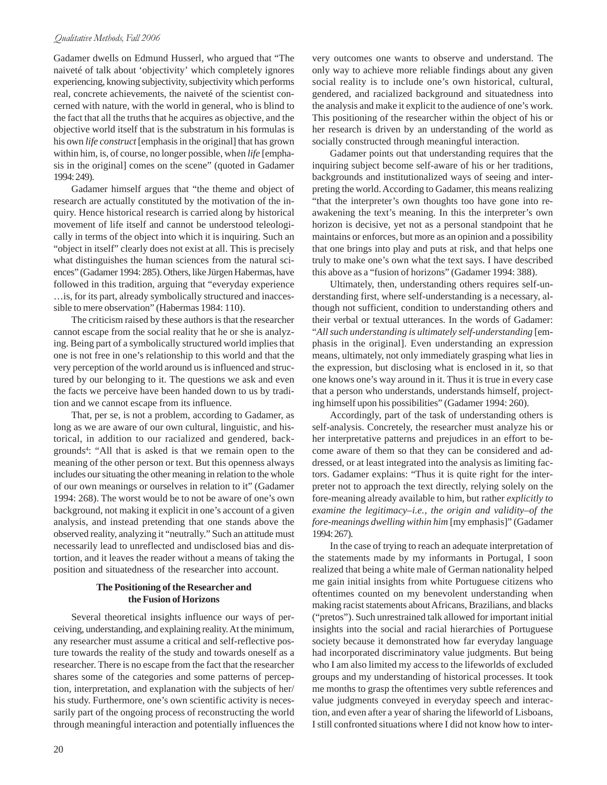Gadamer dwells on Edmund Husserl, who argued that "The naiveté of talk about 'objectivity' which completely ignores experiencing, knowing subjectivity, subjectivity which performs real, concrete achievements, the naiveté of the scientist concerned with nature, with the world in general, who is blind to the fact that all the truths that he acquires as objective, and the objective world itself that is the substratum in his formulas is his own *life construct* [emphasis in the original] that has grown within him, is, of course, no longer possible, when *life* [emphasis in the original] comes on the scene" (quoted in Gadamer 1994: 249).

Gadamer himself argues that "the theme and object of research are actually constituted by the motivation of the inquiry. Hence historical research is carried along by historical movement of life itself and cannot be understood teleologically in terms of the object into which it is inquiring. Such an "object in itself" clearly does not exist at all. This is precisely what distinguishes the human sciences from the natural sciences" (Gadamer 1994: 285). Others, like Jürgen Habermas, have followed in this tradition, arguing that "everyday experience …is, for its part, already symbolically structured and inaccessible to mere observation" (Habermas 1984: 110).

The criticism raised by these authors is that the researcher cannot escape from the social reality that he or she is analyzing. Being part of a symbolically structured world implies that one is not free in one's relationship to this world and that the very perception of the world around us is influenced and structured by our belonging to it. The questions we ask and even the facts we perceive have been handed down to us by tradition and we cannot escape from its influence.

That, per se, is not a problem, according to Gadamer, as long as we are aware of our own cultural, linguistic, and historical, in addition to our racialized and gendered, backgrounds<sup>4</sup>: "All that is asked is that we remain open to the meaning of the other person or text. But this openness always includes our situating the other meaning in relation to the whole of our own meanings or ourselves in relation to it" (Gadamer 1994: 268). The worst would be to not be aware of one's own background, not making it explicit in one's account of a given analysis, and instead pretending that one stands above the observed reality, analyzing it "neutrally." Such an attitude must necessarily lead to unreflected and undisclosed bias and distortion, and it leaves the reader without a means of taking the position and situatedness of the researcher into account.

# **The Positioning of the Researcher and the Fusion of Horizons**

Several theoretical insights influence our ways of perceiving, understanding, and explaining reality. At the minimum, any researcher must assume a critical and self-reflective posture towards the reality of the study and towards oneself as a researcher. There is no escape from the fact that the researcher shares some of the categories and some patterns of perception, interpretation, and explanation with the subjects of her/ his study. Furthermore, one's own scientific activity is necessarily part of the ongoing process of reconstructing the world through meaningful interaction and potentially influences the very outcomes one wants to observe and understand. The only way to achieve more reliable findings about any given social reality is to include one's own historical, cultural, gendered, and racialized background and situatedness into the analysis and make it explicit to the audience of one's work. This positioning of the researcher within the object of his or her research is driven by an understanding of the world as socially constructed through meaningful interaction.

Gadamer points out that understanding requires that the inquiring subject become self-aware of his or her traditions, backgrounds and institutionalized ways of seeing and interpreting the world. According to Gadamer, this means realizing "that the interpreter's own thoughts too have gone into reawakening the text's meaning. In this the interpreter's own horizon is decisive, yet not as a personal standpoint that he maintains or enforces, but more as an opinion and a possibility that one brings into play and puts at risk, and that helps one truly to make one's own what the text says. I have described this above as a "fusion of horizons" (Gadamer 1994: 388).

Ultimately, then, understanding others requires self-understanding first, where self-understanding is a necessary, although not sufficient, condition to understanding others and their verbal or textual utterances. In the words of Gadamer: "*All such understanding is ultimately self-understanding* [emphasis in the original]. Even understanding an expression means, ultimately, not only immediately grasping what lies in the expression, but disclosing what is enclosed in it, so that one knows one's way around in it. Thus it is true in every case that a person who understands, understands himself, projecting himself upon his possibilities" (Gadamer 1994: 260).

Accordingly, part of the task of understanding others is self-analysis. Concretely, the researcher must analyze his or her interpretative patterns and prejudices in an effort to become aware of them so that they can be considered and addressed, or at least integrated into the analysis as limiting factors. Gadamer explains: "Thus it is quite right for the interpreter not to approach the text directly, relying solely on the fore-meaning already available to him, but rather *explicitly to examine the legitimacy–i.e., the origin and validity–of the fore-meanings dwelling within him* [my emphasis]" (Gadamer 1994: 267).

In the case of trying to reach an adequate interpretation of the statements made by my informants in Portugal, I soon realized that being a white male of German nationality helped me gain initial insights from white Portuguese citizens who oftentimes counted on my benevolent understanding when making racist statements about Africans, Brazilians, and blacks ("pretos"). Such unrestrained talk allowed for important initial insights into the social and racial hierarchies of Portuguese society because it demonstrated how far everyday language had incorporated discriminatory value judgments. But being who I am also limited my access to the lifeworlds of excluded groups and my understanding of historical processes. It took me months to grasp the oftentimes very subtle references and value judgments conveyed in everyday speech and interaction, and even after a year of sharing the lifeworld of Lisboans, I still confronted situations where I did not know how to inter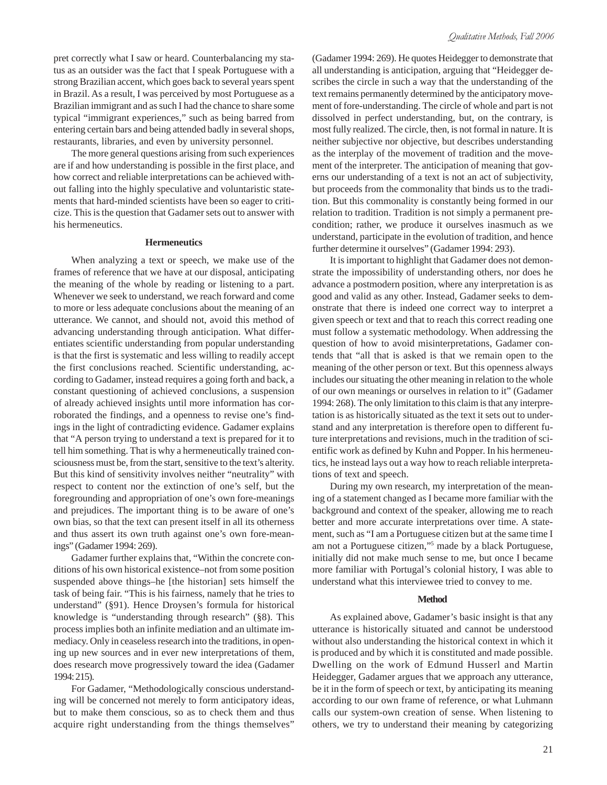pret correctly what I saw or heard. Counterbalancing my status as an outsider was the fact that I speak Portuguese with a strong Brazilian accent, which goes back to several years spent in Brazil. As a result, I was perceived by most Portuguese as a Brazilian immigrant and as such I had the chance to share some typical "immigrant experiences," such as being barred from entering certain bars and being attended badly in several shops, restaurants, libraries, and even by university personnel.

The more general questions arising from such experiences are if and how understanding is possible in the first place, and how correct and reliable interpretations can be achieved without falling into the highly speculative and voluntaristic statements that hard-minded scientists have been so eager to criticize. This is the question that Gadamer sets out to answer with his hermeneutics.

## **Hermeneutics**

When analyzing a text or speech, we make use of the frames of reference that we have at our disposal, anticipating the meaning of the whole by reading or listening to a part. Whenever we seek to understand, we reach forward and come to more or less adequate conclusions about the meaning of an utterance. We cannot, and should not, avoid this method of advancing understanding through anticipation. What differentiates scientific understanding from popular understanding is that the first is systematic and less willing to readily accept the first conclusions reached. Scientific understanding, according to Gadamer, instead requires a going forth and back, a constant questioning of achieved conclusions, a suspension of already achieved insights until more information has corroborated the findings, and a openness to revise one's findings in the light of contradicting evidence. Gadamer explains that "A person trying to understand a text is prepared for it to tell him something. That is why a hermeneutically trained consciousness must be, from the start, sensitive to the text's alterity. But this kind of sensitivity involves neither "neutrality" with respect to content nor the extinction of one's self, but the foregrounding and appropriation of one's own fore-meanings and prejudices. The important thing is to be aware of one's own bias, so that the text can present itself in all its otherness and thus assert its own truth against one's own fore-meanings" (Gadamer 1994: 269).

Gadamer further explains that, "Within the concrete conditions of his own historical existence–not from some position suspended above things–he [the historian] sets himself the task of being fair. "This is his fairness, namely that he tries to understand" (§91). Hence Droysen's formula for historical knowledge is "understanding through research" (§8). This process implies both an infinite mediation and an ultimate immediacy. Only in ceaseless research into the traditions, in opening up new sources and in ever new interpretations of them, does research move progressively toward the idea (Gadamer 1994: 215).

For Gadamer, "Methodologically conscious understanding will be concerned not merely to form anticipatory ideas, but to make them conscious, so as to check them and thus acquire right understanding from the things themselves" (Gadamer 1994: 269). He quotes Heidegger to demonstrate that all understanding is anticipation, arguing that "Heidegger describes the circle in such a way that the understanding of the text remains permanently determined by the anticipatory movement of fore-understanding. The circle of whole and part is not dissolved in perfect understanding, but, on the contrary, is most fully realized. The circle, then, is not formal in nature. It is neither subjective nor objective, but describes understanding as the interplay of the movement of tradition and the movement of the interpreter. The anticipation of meaning that governs our understanding of a text is not an act of subjectivity, but proceeds from the commonality that binds us to the tradition. But this commonality is constantly being formed in our relation to tradition. Tradition is not simply a permanent precondition; rather, we produce it ourselves inasmuch as we understand, participate in the evolution of tradition, and hence further determine it ourselves" (Gadamer 1994: 293).

It is important to highlight that Gadamer does not demonstrate the impossibility of understanding others, nor does he advance a postmodern position, where any interpretation is as good and valid as any other. Instead, Gadamer seeks to demonstrate that there is indeed one correct way to interpret a given speech or text and that to reach this correct reading one must follow a systematic methodology. When addressing the question of how to avoid misinterpretations, Gadamer contends that "all that is asked is that we remain open to the meaning of the other person or text. But this openness always includes our situating the other meaning in relation to the whole of our own meanings or ourselves in relation to it" (Gadamer 1994: 268). The only limitation to this claim is that any interpretation is as historically situated as the text it sets out to understand and any interpretation is therefore open to different future interpretations and revisions, much in the tradition of scientific work as defined by Kuhn and Popper. In his hermeneutics, he instead lays out a way how to reach reliable interpretations of text and speech.

During my own research, my interpretation of the meaning of a statement changed as I became more familiar with the background and context of the speaker, allowing me to reach better and more accurate interpretations over time. A statement, such as "I am a Portuguese citizen but at the same time I am not a Portuguese citizen,"5 made by a black Portuguese, initially did not make much sense to me, but once I became more familiar with Portugal's colonial history, I was able to understand what this interviewee tried to convey to me.

#### **Method**

As explained above, Gadamer's basic insight is that any utterance is historically situated and cannot be understood without also understanding the historical context in which it is produced and by which it is constituted and made possible. Dwelling on the work of Edmund Husserl and Martin Heidegger, Gadamer argues that we approach any utterance, be it in the form of speech or text, by anticipating its meaning according to our own frame of reference, or what Luhmann calls our system-own creation of sense. When listening to others, we try to understand their meaning by categorizing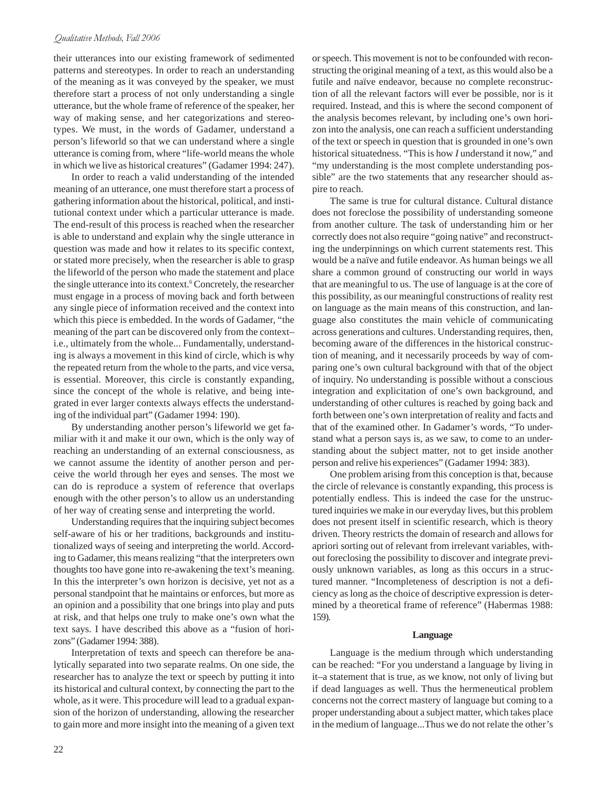their utterances into our existing framework of sedimented patterns and stereotypes. In order to reach an understanding of the meaning as it was conveyed by the speaker, we must therefore start a process of not only understanding a single utterance, but the whole frame of reference of the speaker, her way of making sense, and her categorizations and stereotypes. We must, in the words of Gadamer, understand a person's lifeworld so that we can understand where a single utterance is coming from, where "life-world means the whole in which we live as historical creatures" (Gadamer 1994: 247).

In order to reach a valid understanding of the intended meaning of an utterance, one must therefore start a process of gathering information about the historical, political, and institutional context under which a particular utterance is made. The end-result of this process is reached when the researcher is able to understand and explain why the single utterance in question was made and how it relates to its specific context, or stated more precisely, when the researcher is able to grasp the lifeworld of the person who made the statement and place the single utterance into its context.<sup>6</sup> Concretely, the researcher must engage in a process of moving back and forth between any single piece of information received and the context into which this piece is embedded. In the words of Gadamer, "the meaning of the part can be discovered only from the context– i.e., ultimately from the whole... Fundamentally, understanding is always a movement in this kind of circle, which is why the repeated return from the whole to the parts, and vice versa, is essential. Moreover, this circle is constantly expanding, since the concept of the whole is relative, and being integrated in ever larger contexts always effects the understanding of the individual part" (Gadamer 1994: 190).

By understanding another person's lifeworld we get familiar with it and make it our own, which is the only way of reaching an understanding of an external consciousness, as we cannot assume the identity of another person and perceive the world through her eyes and senses. The most we can do is reproduce a system of reference that overlaps enough with the other person's to allow us an understanding of her way of creating sense and interpreting the world.

Understanding requires that the inquiring subject becomes self-aware of his or her traditions, backgrounds and institutionalized ways of seeing and interpreting the world. According to Gadamer, this means realizing "that the interpreters own thoughts too have gone into re-awakening the text's meaning. In this the interpreter's own horizon is decisive, yet not as a personal standpoint that he maintains or enforces, but more as an opinion and a possibility that one brings into play and puts at risk, and that helps one truly to make one's own what the text says. I have described this above as a "fusion of horizons" (Gadamer 1994: 388).

Interpretation of texts and speech can therefore be analytically separated into two separate realms. On one side, the researcher has to analyze the text or speech by putting it into its historical and cultural context, by connecting the part to the whole, as it were. This procedure will lead to a gradual expansion of the horizon of understanding, allowing the researcher to gain more and more insight into the meaning of a given text or speech. This movement is not to be confounded with reconstructing the original meaning of a text, as this would also be a futile and naïve endeavor, because no complete reconstruction of all the relevant factors will ever be possible, nor is it required. Instead, and this is where the second component of the analysis becomes relevant, by including one's own horizon into the analysis, one can reach a sufficient understanding of the text or speech in question that is grounded in one's own historical situatedness. "This is how *I* understand it now," and "my understanding is the most complete understanding possible" are the two statements that any researcher should aspire to reach.

The same is true for cultural distance. Cultural distance does not foreclose the possibility of understanding someone from another culture. The task of understanding him or her correctly does not also require "going native" and reconstructing the underpinnings on which current statements rest. This would be a naïve and futile endeavor. As human beings we all share a common ground of constructing our world in ways that are meaningful to us. The use of language is at the core of this possibility, as our meaningful constructions of reality rest on language as the main means of this construction, and language also constitutes the main vehicle of communicating across generations and cultures. Understanding requires, then, becoming aware of the differences in the historical construction of meaning, and it necessarily proceeds by way of comparing one's own cultural background with that of the object of inquiry. No understanding is possible without a conscious integration and explicitation of one's own background, and understanding of other cultures is reached by going back and forth between one's own interpretation of reality and facts and that of the examined other. In Gadamer's words, "To understand what a person says is, as we saw, to come to an understanding about the subject matter, not to get inside another person and relive his experiences" (Gadamer 1994: 383).

One problem arising from this conception is that, because the circle of relevance is constantly expanding, this process is potentially endless. This is indeed the case for the unstructured inquiries we make in our everyday lives, but this problem does not present itself in scientific research, which is theory driven. Theory restricts the domain of research and allows for apriori sorting out of relevant from irrelevant variables, without foreclosing the possibility to discover and integrate previously unknown variables, as long as this occurs in a structured manner. "Incompleteness of description is not a deficiency as long as the choice of descriptive expression is determined by a theoretical frame of reference" (Habermas 1988: 159).

#### **Language**

Language is the medium through which understanding can be reached: "For you understand a language by living in it–a statement that is true, as we know, not only of living but if dead languages as well. Thus the hermeneutical problem concerns not the correct mastery of language but coming to a proper understanding about a subject matter, which takes place in the medium of language...Thus we do not relate the other's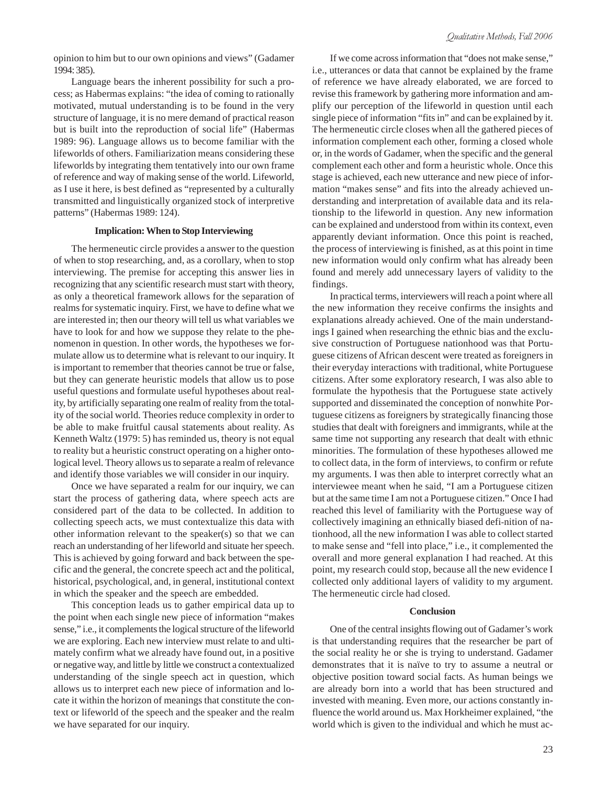opinion to him but to our own opinions and views" (Gadamer 1994: 385).

Language bears the inherent possibility for such a process; as Habermas explains: "the idea of coming to rationally motivated, mutual understanding is to be found in the very structure of language, it is no mere demand of practical reason but is built into the reproduction of social life" (Habermas 1989: 96). Language allows us to become familiar with the lifeworlds of others. Familiarization means considering these lifeworlds by integrating them tentatively into our own frame of reference and way of making sense of the world. Lifeworld, as I use it here, is best defined as "represented by a culturally transmitted and linguistically organized stock of interpretive patterns" (Habermas 1989: 124).

# **Implication: When to Stop Interviewing**

The hermeneutic circle provides a answer to the question of when to stop researching, and, as a corollary, when to stop interviewing. The premise for accepting this answer lies in recognizing that any scientific research must start with theory, as only a theoretical framework allows for the separation of realms for systematic inquiry. First, we have to define what we are interested in; then our theory will tell us what variables we have to look for and how we suppose they relate to the phenomenon in question. In other words, the hypotheses we formulate allow us to determine what is relevant to our inquiry. It is important to remember that theories cannot be true or false, but they can generate heuristic models that allow us to pose useful questions and formulate useful hypotheses about reality, by artificially separating one realm of reality from the totality of the social world. Theories reduce complexity in order to be able to make fruitful causal statements about reality. As Kenneth Waltz (1979: 5) has reminded us, theory is not equal to reality but a heuristic construct operating on a higher ontological level. Theory allows us to separate a realm of relevance and identify those variables we will consider in our inquiry.

Once we have separated a realm for our inquiry, we can start the process of gathering data, where speech acts are considered part of the data to be collected. In addition to collecting speech acts, we must contextualize this data with other information relevant to the speaker(s) so that we can reach an understanding of her lifeworld and situate her speech. This is achieved by going forward and back between the specific and the general, the concrete speech act and the political, historical, psychological, and, in general, institutional context in which the speaker and the speech are embedded.

This conception leads us to gather empirical data up to the point when each single new piece of information "makes sense," i.e., it complements the logical structure of the lifeworld we are exploring. Each new interview must relate to and ultimately confirm what we already have found out, in a positive or negative way, and little by little we construct a contextualized understanding of the single speech act in question, which allows us to interpret each new piece of information and locate it within the horizon of meanings that constitute the context or lifeworld of the speech and the speaker and the realm we have separated for our inquiry.

If we come across information that "does not make sense," i.e., utterances or data that cannot be explained by the frame of reference we have already elaborated, we are forced to revise this framework by gathering more information and amplify our perception of the lifeworld in question until each single piece of information "fits in" and can be explained by it. The hermeneutic circle closes when all the gathered pieces of information complement each other, forming a closed whole or, in the words of Gadamer, when the specific and the general complement each other and form a heuristic whole. Once this stage is achieved, each new utterance and new piece of information "makes sense" and fits into the already achieved understanding and interpretation of available data and its relationship to the lifeworld in question. Any new information can be explained and understood from within its context, even apparently deviant information. Once this point is reached, the process of interviewing is finished, as at this point in time new information would only confirm what has already been found and merely add unnecessary layers of validity to the findings.

In practical terms, interviewers will reach a point where all the new information they receive confirms the insights and explanations already achieved. One of the main understandings I gained when researching the ethnic bias and the exclusive construction of Portuguese nationhood was that Portuguese citizens of African descent were treated as foreigners in their everyday interactions with traditional, white Portuguese citizens. After some exploratory research, I was also able to formulate the hypothesis that the Portuguese state actively supported and disseminated the conception of nonwhite Portuguese citizens as foreigners by strategically financing those studies that dealt with foreigners and immigrants, while at the same time not supporting any research that dealt with ethnic minorities. The formulation of these hypotheses allowed me to collect data, in the form of interviews, to confirm or refute my arguments. I was then able to interpret correctly what an interviewee meant when he said, "I am a Portuguese citizen but at the same time I am not a Portuguese citizen." Once I had reached this level of familiarity with the Portuguese way of collectively imagining an ethnically biased defi-nition of nationhood, all the new information I was able to collect started to make sense and "fell into place," i.e., it complemented the overall and more general explanation I had reached. At this point, my research could stop, because all the new evidence I collected only additional layers of validity to my argument. The hermeneutic circle had closed.

#### **Conclusion**

One of the central insights flowing out of Gadamer's work is that understanding requires that the researcher be part of the social reality he or she is trying to understand. Gadamer demonstrates that it is naïve to try to assume a neutral or objective position toward social facts. As human beings we are already born into a world that has been structured and invested with meaning. Even more, our actions constantly influence the world around us. Max Horkheimer explained, "the world which is given to the individual and which he must ac-